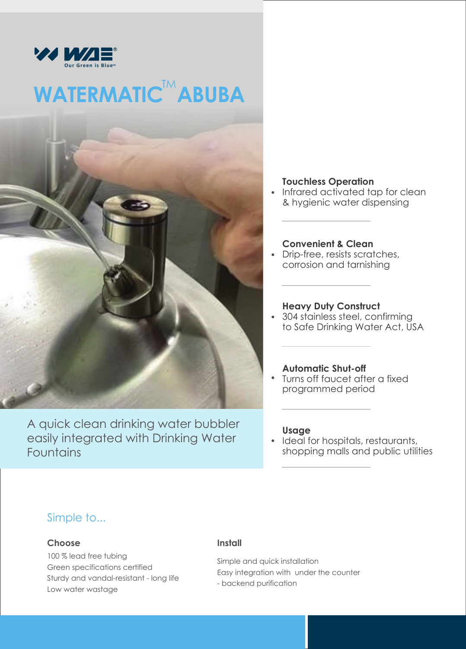

# WATERMATIC<sup>TM</sup> ABUBA



A quick clean drinking water bubbler easily integrated with Drinking Water Fountains

#### **Touchless Operation**

Infrared activated tap for clean & hygienic water dispensing

#### **Convenient & Clean**

Drip-free, resists scratches, corrosion and tarnishing

#### **Heavy Duty Construct**

304 stainless steel, confirming to Safe Drinking Water Act, USA

#### **Automatic Shut-off**

Turns off faucet after a fixed programmed period

#### **Usage**

Ideal for hospitals, restaurants, shopping malls and public utilities

### Simple to...

#### **Choose**

100 % lead free tubing Green specifications certified Sturdy and vandal-resistant - long life Low water wastage

#### **Install**

Simple and quick installation Easy integration with under the counter - backend purification